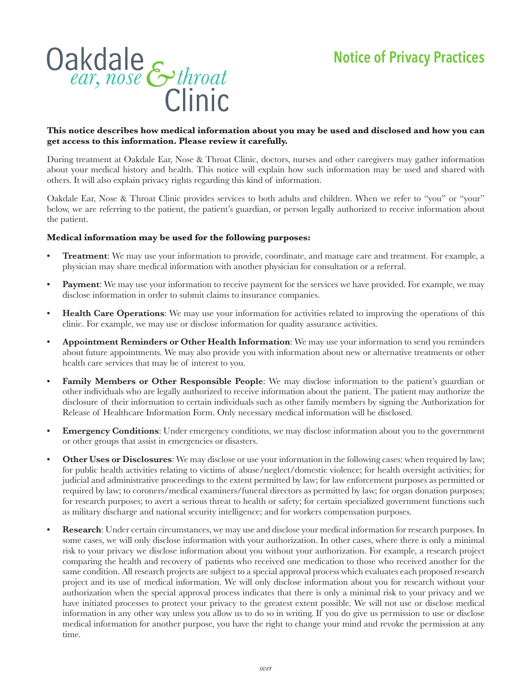

## **This notice describes how medical information about you may be used and disclosed and how you can get access to this information. Please review it carefully.**

During treatment at Oakdale Ear, Nose & Throat Clinic, doctors, nurses and other caregivers may gather information about your medical history and health. This notice will explain how such information may be used and shared with others. It will also explain privacy rights regarding this kind of information.

Oakdale Ear, Nose & Throat Clinic provides services to both adults and children. When we refer to "you" or "your" below, we are referring to the patient, the patient's guardian, or person legally authorized to receive information about the patient.

## **Medical information may be used for the following purposes:**

- **• Treatment**: We may use your information to provide, coordinate, and manage care and treatment. For example, a physician may share medical information with another physician for consultation or a referral.
- **• Payment**: We may use your information to receive payment for the services we have provided. For example, we may disclose information in order to submit claims to insurance companies.
- **• Health Care Operations**: We may use your information for activities related to improving the operations of this clinic. For example, we may use or disclose information for quality assurance activities.
- **• Appointment Reminders or Other Health Information**: We may use your information to send you reminders about future appointments. We may also provide you with information about new or alternative treatments or other health care services that may be of interest to you.
- **• Family Members or Other Responsible People**: We may disclose information to the patient's guardian or other individuals who are legally authorized to receive information about the patient. The patient may authorize the disclosure of their information to certain individuals such as other family members by signing the Authorization for Release of Healthcare Information Form. Only necessary medical information will be disclosed.
- **Emergency Conditions**: Under emergency conditions, we may disclose information about you to the government or other groups that assist in emergencies or disasters.
- **• Other Uses or Disclosures**: We may disclose or use your information in the following cases: when required by law; for public health activities relating to victims of abuse/neglect/domestic violence; for health oversight activities; for judicial and administrative proceedings to the extent permitted by law; for law enforcement purposes as permitted or required by law; to coroners/medical examiners/funeral directors as permitted by law; for organ donation purposes; for research purposes; to avert a serious threat to health or safety; for certain specialized government functions such as military discharge and national security intelligence; and for workers compensation purposes.
- **• Research**: Under certain circumstances, we may use and disclose your medical information for research purposes. In some cases, we will only disclose information with your authorization. In other cases, where there is only a minimal risk to your privacy we disclose information about you without your authorization. For example, a research project comparing the health and recovery of patients who received one medication to those who received another for the same condition. All research projects are subject to a special approval process which evaluates each proposed research project and its use of medical information. We will only disclose information about you for research without your authorization when the special approval process indicates that there is only a minimal risk to your privacy and we have initiated processes to protect your privacy to the greatest extent possible. We will not use or disclose medical information in any other way unless you allow us to do so in writing. If you do give us permission to use or disclose medical information for another purpose, you have the right to change your mind and revoke the permission at any time.